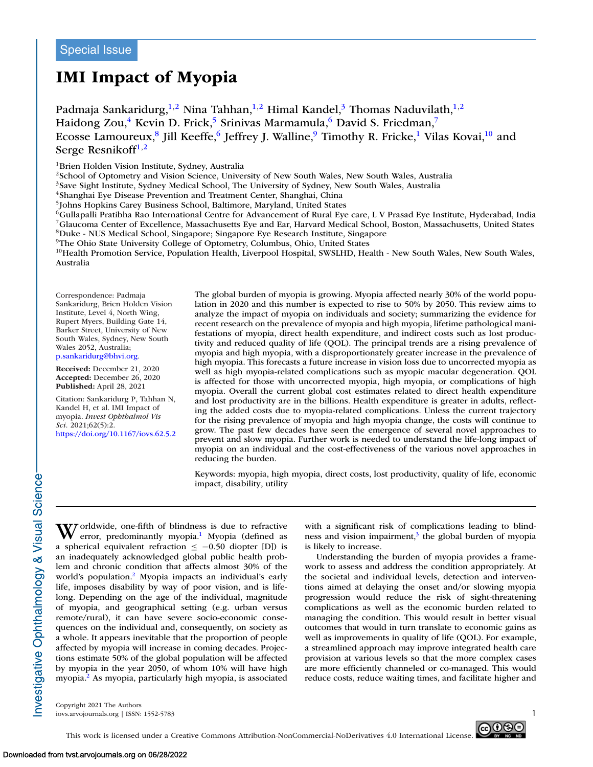# **IMI Impact of Myopia**

Padmaja Sankaridurg,<sup>1,2</sup> Nina Tahhan,<sup>1,2</sup> Himal Kandel,<sup>3</sup> Thomas Naduvilath,<sup>1,2</sup> Haidong Zou,<sup>4</sup> Kevin D. Frick,<sup>5</sup> Srinivas Marmamula,<sup>6</sup> David S. Friedman,<sup>7</sup> Ecosse Lamoureux,<sup>8</sup> Jill Keeffe,<sup>6</sup> Jeffrey J. Walline,<sup>9</sup> Timothy R. Fricke,<sup>1</sup> Vilas Kovai,<sup>10</sup> and Serge Resnikoff $1,2$ 

<sup>1</sup>Brien Holden Vision Institute, Sydney, Australia

2School of Optometry and Vision Science, University of New South Wales, New South Wales, Australia

<sup>3</sup>Save Sight Institute, Sydney Medical School, The University of Sydney, New South Wales, Australia

<sup>4</sup>Shanghai Eye Disease Prevention and Treatment Center, Shanghai, China

5Johns Hopkins Carey Business School, Baltimore, Maryland, United States

6Gullapalli Pratibha Rao International Centre for Advancement of Rural Eye care, L V Prasad Eye Institute, Hyderabad, India 7Glaucoma Center of Excellence, Massachusetts Eye and Ear, Harvard Medical School, Boston, Massachusetts, United States 8Duke - NUS Medical School, Singapore; Singapore Eye Research Institute, Singapore

9The Ohio State University College of Optometry, Columbus, Ohio, United States

 $10$ Health Promotion Service, Population Health, Liverpool Hospital, SWSLHD, Health - New South Wales, New South Wales, Australia

Correspondence: Padmaja Sankaridurg, Brien Holden Vision Institute, Level 4, North Wing, Rupert Myers, Building Gate 14, Barker Street, University of New South Wales, Sydney, New South Wales 2052, Australia; [p.sankaridurg@bhvi.org.](mailto:p.sankaridurg@bhvi.org)

**Received:** December 21, 2020 **Accepted:** December 26, 2020 **Published:** April 28, 2021

Citation: Sankaridurg P, Tahhan N, Kandel H, et al. IMI Impact of myopia. *Invest Ophthalmol Vis Sci.* 2021;62(5):2. <https://doi.org/10.1167/iovs.62.5.2> The global burden of myopia is growing. Myopia affected nearly 30% of the world population in 2020 and this number is expected to rise to 50% by 2050. This review aims to analyze the impact of myopia on individuals and society; summarizing the evidence for recent research on the prevalence of myopia and high myopia, lifetime pathological manifestations of myopia, direct health expenditure, and indirect costs such as lost productivity and reduced quality of life (QOL). The principal trends are a rising prevalence of myopia and high myopia, with a disproportionately greater increase in the prevalence of high myopia. This forecasts a future increase in vision loss due to uncorrected myopia as well as high myopia-related complications such as myopic macular degeneration. QOL is affected for those with uncorrected myopia, high myopia, or complications of high myopia. Overall the current global cost estimates related to direct health expenditure and lost productivity are in the billions. Health expenditure is greater in adults, reflecting the added costs due to myopia-related complications. Unless the current trajectory for the rising prevalence of myopia and high myopia change, the costs will continue to grow. The past few decades have seen the emergence of several novel approaches to prevent and slow myopia. Further work is needed to understand the life-long impact of myopia on an individual and the cost-effectiveness of the various novel approaches in reducing the burden.

Keywords: myopia, high myopia, direct costs, lost productivity, quality of life, economic impact, disability, utility

Worldwide, one-fifth of blindness is due to refractive<br>error, predominantly myopia.<sup>1</sup> Myopia (defined as a spherical equivalent refraction  $\le -0.50$  diopter [D]) is an inadequately acknowledged global public health problem and chronic condition that affects almost 30% of the world's population.<sup>2</sup> Myopia impacts an individual's early life, imposes disability by way of poor vision, and is lifelong. Depending on the age of the individual, magnitude of myopia, and geographical setting (e.g. urban versus remote/rural), it can have severe socio-economic consequences on the individual and, consequently, on society as a whole. It appears inevitable that the proportion of people affected by myopia will increase in coming decades. Projections estimate 50% of the global population will be affected by myopia in the year 2050, of whom 10% will have high myopia[.2](#page-9-0) As myopia, particularly high myopia, is associated with a significant risk of complications leading to blindness and vision impairment, $3$  the global burden of myopia is likely to increase.

Understanding the burden of myopia provides a framework to assess and address the condition appropriately. At the societal and individual levels, detection and interventions aimed at delaying the onset and/or slowing myopia progression would reduce the risk of sight-threatening complications as well as the economic burden related to managing the condition. This would result in better visual outcomes that would in turn translate to economic gains as well as improvements in quality of life (QOL). For example, a streamlined approach may improve integrated health care provision at various levels so that the more complex cases are more efficiently channeled or co-managed. This would reduce costs, reduce waiting times, and facilitate higher and

Copyright 2021 The Authors iovs.arvojournals.org | ISSN: 1552-5783 1

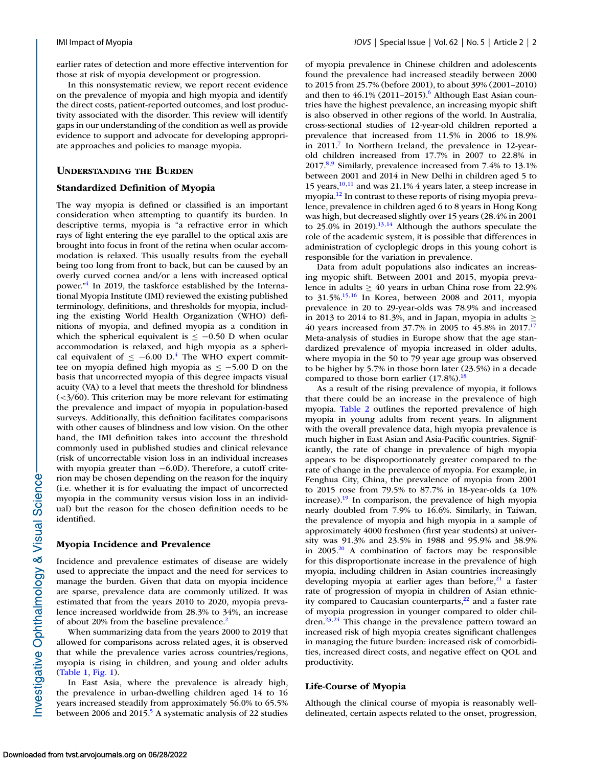earlier rates of detection and more effective intervention for those at risk of myopia development or progression.

In this nonsystematic review, we report recent evidence on the prevalence of myopia and high myopia and identify the direct costs, patient-reported outcomes, and lost productivity associated with the disorder. This review will identify gaps in our understanding of the condition as well as provide evidence to support and advocate for developing appropriate approaches and policies to manage myopia.

# **UNDERSTANDING THE BURDEN**

### **Standardized Definition of Myopia**

The way myopia is defined or classified is an important consideration when attempting to quantify its burden. In descriptive terms, myopia is "a refractive error in which rays of light entering the eye parallel to the optical axis are brought into focus in front of the retina when ocular accommodation is relaxed. This usually results from the eyeball being too long from front to back, but can be caused by an overly curved cornea and/or a lens with increased optical power.["4](#page-9-0) In 2019, the taskforce established by the International Myopia Institute (IMI) reviewed the existing published terminology, definitions, and thresholds for myopia, including the existing World Health Organization (WHO) definitions of myopia, and defined myopia as a condition in which the spherical equivalent is  $\le$  -0.50 D when ocular accommodation is relaxed, and high myopia as a spherical equivalent of  $\leq -6.00$  D.<sup>4</sup> The WHO expert committee on myopia defined high myopia as  $\le$  -5.00 D on the basis that uncorrected myopia of this degree impacts visual acuity (VA) to a level that meets the threshold for blindness  $\left( \frac{3}{60} \right)$ . This criterion may be more relevant for estimating the prevalence and impact of myopia in population-based surveys. Additionally, this definition facilitates comparisons with other causes of blindness and low vision. On the other hand, the IMI definition takes into account the threshold commonly used in published studies and clinical relevance (risk of uncorrectable vision loss in an individual increases with myopia greater than −6.0D). Therefore, a cutoff criterion may be chosen depending on the reason for the inquiry (i.e. whether it is for evaluating the impact of uncorrected myopia in the community versus vision loss in an individual) but the reason for the chosen definition needs to be identified.

# **Myopia Incidence and Prevalence**

Incidence and prevalence estimates of disease are widely used to appreciate the impact and the need for services to manage the burden. Given that data on myopia incidence are sparse, prevalence data are commonly utilized. It was estimated that from the years 2010 to 2020, myopia prevalence increased worldwide from 28.3% to 34%, an increase of about 20% from the baseline prevalence.<sup>2</sup>

When summarizing data from the years 2000 to 2019 that allowed for comparisons across related ages, it is observed that while the prevalence varies across countries/regions, myopia is rising in children, and young and older adults [\(Table 1,](#page-2-0) [Fig. 1\)](#page-2-0).

In East Asia, where the prevalence is already high, the prevalence in urban-dwelling children aged 14 to 16 years increased steadily from approximately 56.0% to 65.5% between 2006 and 2015.<sup>5</sup> A systematic analysis of 22 studies

of myopia prevalence in Chinese children and adolescents found the prevalence had increased steadily between 2000 to 2015 from 25.7% (before 2001), to about 39% (2001–2010) and then to  $46.1\%$  (2011–2015).<sup>6</sup> Although East Asian countries have the highest prevalence, an increasing myopic shift is also observed in other regions of the world. In Australia, cross-sectional studies of 12-year-old children reported a prevalence that increased from 11.5% in 2006 to 18.9% in 2011.<sup>7</sup> In Northern Ireland, the prevalence in 12-yearold children increased from 17.7% in 2007 to 22.8% in 2017[.8,9](#page-9-0) Similarly, prevalence increased from 7.4% to 13.1% between 2001 and 2014 in New Delhi in children aged 5 to 15 years[,10,11](#page-9-0) and was 21.1% 4 years later, a steep increase in myopia[.12](#page-9-0) In contrast to these reports of rising myopia prevalence, prevalence in children aged 6 to 8 years in Hong Kong was high, but decreased slightly over 15 years (28.4% in 2001 to 25.0% in 2019). $^{13,14}$  Although the authors speculate the role of the academic system, it is possible that differences in administration of cycloplegic drops in this young cohort is responsible for the variation in prevalence.

Data from adult populations also indicates an increasing myopic shift. Between 2001 and 2015, myopia prevalence in adults  $\geq 40$  years in urban China rose from 22.9% to 31.5%[.15,16](#page-10-0) In Korea, between 2008 and 2011, myopia prevalence in 20 to 29-year-olds was 78.9% and increased in 2013 to 2014 to 81.3%, and in Japan, myopia in adults  $\geq$ 40 years increased from 37.7% in 2005 to 45.8% in 2017[.17](#page-10-0) Meta-analysis of studies in Europe show that the age standardized prevalence of myopia increased in older adults, where myopia in the 50 to 79 year age group was observed to be higher by 5.7% in those born later (23.5%) in a decade compared to those born earlier  $(17.8\%)$ .<sup>18</sup>

As a result of the rising prevalence of myopia, it follows that there could be an increase in the prevalence of high myopia. [Table 2](#page-3-0) outlines the reported prevalence of high myopia in young adults from recent years. In alignment with the overall prevalence data, high myopia prevalence is much higher in East Asian and Asia-Pacific countries. Significantly, the rate of change in prevalence of high myopia appears to be disproportionately greater compared to the rate of change in the prevalence of myopia. For example, in Fenghua City, China, the prevalence of myopia from 2001 to 2015 rose from 79.5% to 87.7% in 18-year-olds (a 10% increase)[.19](#page-10-0) In comparison, the prevalence of high myopia nearly doubled from 7.9% to 16.6%. Similarly, in Taiwan, the prevalence of myopia and high myopia in a sample of approximately 4000 freshmen (first year students) at university was 91.3% and 23.5% in 1988 and 95.9% and 38.9% in 2005[.20](#page-10-0) A combination of factors may be responsible for this disproportionate increase in the prevalence of high myopia, including children in Asian countries increasingly developing myopia at earlier ages than before, $2<sup>1</sup>$  a faster rate of progression of myopia in children of Asian ethnicity compared to Caucasian counterparts, $2^2$  and a faster rate of myopia progression in younger compared to older children.<sup>23,24</sup> This change in the prevalence pattern toward an increased risk of high myopia creates significant challenges in managing the future burden: increased risk of comorbidities, increased direct costs, and negative effect on QOL and productivity.

# **Life-Course of Myopia**

Although the clinical course of myopia is reasonably welldelineated, certain aspects related to the onset, progression,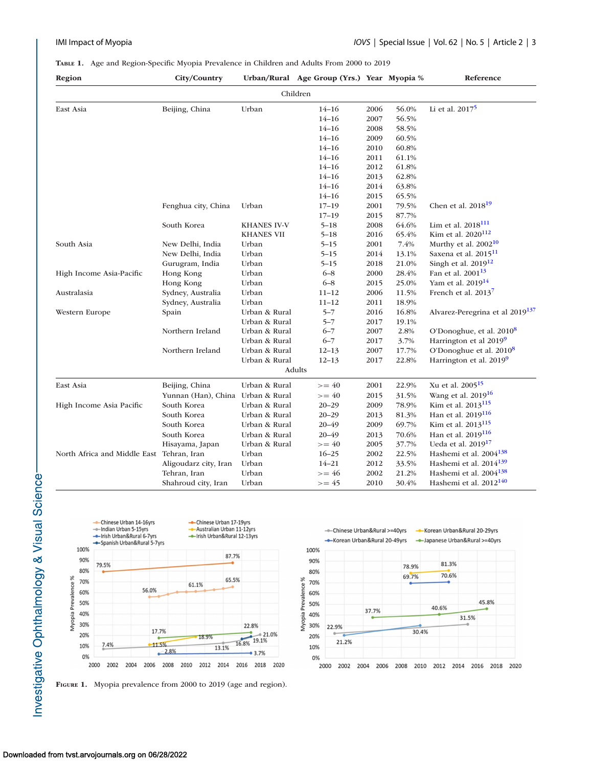# <span id="page-2-0"></span>**TABLE 1.** Age and Region-Specific Myopia Prevalence in Children and Adults From 2000 to 2019

| Region                                    | City/Country                      |                    | Urban/Rural Age Group (Yrs.) Year Myopia % |      |       | Reference                                   |
|-------------------------------------------|-----------------------------------|--------------------|--------------------------------------------|------|-------|---------------------------------------------|
|                                           |                                   |                    | Children                                   |      |       |                                             |
| East Asia                                 | Beijing, China                    | Urban              | $14 - 16$                                  | 2006 | 56.0% | Li et al. $2017^5$                          |
|                                           |                                   |                    | $14 - 16$                                  | 2007 | 56.5% |                                             |
|                                           |                                   |                    | $14 - 16$                                  | 2008 | 58.5% |                                             |
|                                           |                                   |                    | $14 - 16$                                  | 2009 | 60.5% |                                             |
|                                           |                                   |                    | $14 - 16$                                  | 2010 | 60.8% |                                             |
|                                           |                                   |                    | $14 - 16$                                  | 2011 | 61.1% |                                             |
|                                           |                                   |                    | $14 - 16$                                  | 2012 | 61.8% |                                             |
|                                           |                                   |                    | $14 - 16$                                  | 2013 | 62.8% |                                             |
|                                           |                                   |                    | $14 - 16$                                  | 2014 | 63.8% |                                             |
|                                           |                                   |                    | $14 - 16$                                  | 2015 | 65.5% |                                             |
|                                           | Fenghua city, China               | Urban              | $17 - 19$                                  | 2001 | 79.5% | Chen et al. $2018^{19}$                     |
|                                           |                                   |                    | $17 - 19$                                  | 2015 | 87.7% |                                             |
|                                           | South Korea                       | <b>KHANES IV-V</b> | $5 - 18$                                   | 2008 | 64.6% | Lim et al. $2018^{111}$                     |
|                                           |                                   | <b>KHANES VII</b>  | $5 - 18$                                   | 2016 | 65.4% | Kim et al. 2020 <sup>112</sup>              |
| South Asia                                | New Delhi, India                  | Urban              | $5 - 15$                                   | 2001 | 7.4%  | Murthy et al. $2002^{10}$                   |
|                                           | New Delhi, India                  | Urban              | $5 - 15$                                   | 2014 | 13.1% | Saxena et al. 2015 <sup>11</sup>            |
|                                           | Gurugram, India                   | Urban              | $5 - 15$                                   | 2018 | 21.0% | Singh et al. $2019^{12}$                    |
| High Income Asia-Pacific                  | Hong Kong                         | Urban              | $6 - 8$                                    | 2000 | 28.4% | Fan et al. 2001 <sup>13</sup>               |
|                                           | Hong Kong                         | Urban              | $6 - 8$                                    | 2015 | 25.0% | Yam et al. 2019 <sup>14</sup>               |
| Australasia                               | Sydney, Australia                 | Urban              | $11 - 12$                                  | 2006 | 11.5% | French et al. $2013^7$                      |
|                                           | Sydney, Australia                 | Urban              | $11 - 12$                                  | 2011 | 18.9% |                                             |
| Western Europe                            | Spain                             | Urban & Rural      | $5 - 7$                                    | 2016 | 16.8% | Alvarez-Peregrina et al 2019 <sup>137</sup> |
|                                           |                                   | Urban & Rural      | $5 - 7$                                    | 2017 | 19.1% |                                             |
|                                           | Northern Ireland                  | Urban & Rural      | $6 - 7$                                    | 2007 | 2.8%  | O'Donoghue, et al. 2010 <sup>8</sup>        |
|                                           |                                   | Urban & Rural      | $6 - 7$                                    | 2017 | 3.7%  | Harrington et al 2019 <sup>9</sup>          |
|                                           | Northern Ireland                  | Urban & Rural      | $12 - 13$                                  | 2007 | 17.7% | O'Donoghue et al. 2010 <sup>8</sup>         |
|                                           |                                   | Urban & Rural      | $12 - 13$                                  | 2017 | 22.8% | Harrington et al. 2019 <sup>9</sup>         |
|                                           |                                   |                    | <b>Adults</b>                              |      |       |                                             |
| East Asia                                 | Beijing, China                    | Urban & Rural      | $>= 40$                                    | 2001 | 22.9% | Xu et al. 2005 <sup>15</sup>                |
|                                           | Yunnan (Han), China Urban & Rural |                    | $>= 40$                                    | 2015 | 31.5% | Wang et al. 2019 <sup>16</sup>              |
| High Income Asia Pacific                  | South Korea                       | Urban & Rural      | $20 - 29$                                  | 2009 | 78.9% | Kim et al. 2013 <sup>115</sup>              |
|                                           | South Korea                       | Urban & Rural      | $20 - 29$                                  | 2013 | 81.3% | Han et al. 2019 <sup>116</sup>              |
|                                           | South Korea                       | Urban & Rural      | $20 - 49$                                  | 2009 | 69.7% | Kim et al. 2013 <sup>115</sup>              |
|                                           | South Korea                       | Urban & Rural      | $20 - 49$                                  | 2013 | 70.6% | Han et al. 2019 <sup>116</sup>              |
|                                           | Hisayama, Japan                   | Urban & Rural      | $>= 40$                                    | 2005 | 37.7% | Ueda et al. 2019 <sup>17</sup>              |
| North Africa and Middle East Tehran, Iran |                                   | Urban              | $16 - 25$                                  | 2002 | 22.5% | Hashemi et al. 2004 <sup>138</sup>          |
|                                           | Aligoudarz city, Iran             | Urban              | $14 - 21$                                  | 2012 | 33.5% | Hashemi et al. $2014^{139}$                 |
|                                           | Tehran, Iran                      | Urban              | $>= 46$                                    | 2002 | 21.2% | Hashemi et al. $2004^{138}$                 |
|                                           | Shahroud city, Iran               | Urban              | $>= 45$                                    | 2010 | 30.4% | Hashemi et al. 2012 <sup>140</sup>          |



**FIGURE 1.** Myopia prevalence from 2000 to 2019 (age and region).

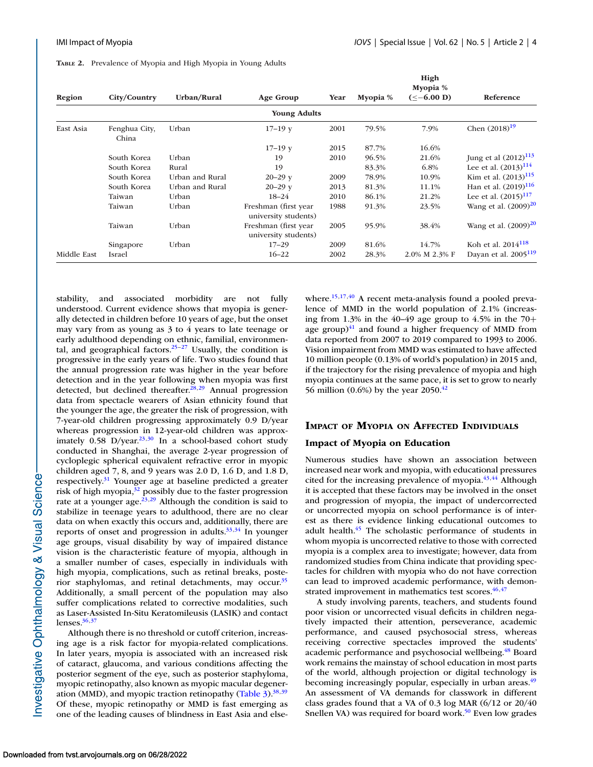<span id="page-3-0"></span>**TABLE 2.** Prevalence of Myopia and High Myopia in Young Adults

| Region      | City/Country           | Urban/Rural     | Age Group                                    | Year | Myopia % | High<br>Myopia %<br>$(< -6.00 D)$ | Reference                        |
|-------------|------------------------|-----------------|----------------------------------------------|------|----------|-----------------------------------|----------------------------------|
|             |                        |                 | <b>Young Adults</b>                          |      |          |                                   |                                  |
| East Asia   | Fenghua City,<br>China | Urban           | $17 - 19y$                                   | 2001 | 79.5%    | 7.9%                              | Chen $(2018)^{19}$               |
|             |                        |                 | $17-19y$                                     | 2015 | 87.7%    | 16.6%                             |                                  |
|             | South Korea            | Urban           | 19                                           | 2010 | 96.5%    | 21.6%                             | Jung et al $(2012)^{113}$        |
|             | South Korea            | Rural           | 19                                           |      | 83.3%    | 6.8%                              | Lee et al. $(2013)^{114}$        |
|             | South Korea            | Urban and Rural | $20 - 29y$                                   | 2009 | 78.9%    | 10.9%                             | Kim et al. $(2013)^{115}$        |
|             | South Korea            | Urban and Rural | $20 - 29y$                                   | 2013 | 81.3%    | 11.1%                             | Han et al. $(2019)^{116}$        |
|             | Taiwan                 | Urban           | $18 - 24$                                    | 2010 | 86.1%    | 21.2%                             | Lee et al. $(2015)^{117}$        |
|             | Taiwan                 | Urban           | Freshman (first year<br>university students) | 1988 | 91.3%    | 23.5%                             | Wang et al. $(2009)^{20}$        |
|             | Taiwan                 | Urban           | Freshman (first year<br>university students) | 2005 | 95.9%    | 38.4%                             | Wang et al. $(2009)^{20}$        |
|             | Singapore              | Urban           | $17 - 29$                                    | 2009 | 81.6%    | 14.7%                             | Koh et al. $2014^{118}$          |
| Middle East | Israel                 |                 | $16 - 22$                                    | 2002 | 28.3%    | 2.0% M 2.3% F                     | Dayan et al. 2005 <sup>119</sup> |

stability, and associated morbidity are not fully understood. Current evidence shows that myopia is generally detected in children before 10 years of age, but the onset may vary from as young as 3 to 4 years to late teenage or early adulthood depending on ethnic, familial, environmental, and geographical factors. $25-27$  Usually, the condition is progressive in the early years of life. Two studies found that the annual progression rate was higher in the year before detection and in the year following when myopia was first detected, but declined thereafter.<sup>28,29</sup> Annual progression data from spectacle wearers of Asian ethnicity found that the younger the age, the greater the risk of progression, with 7-year-old children progressing approximately 0.9 D/year whereas progression in 12-year-old children was approximately  $0.58$  D/year.<sup>23,30</sup> In a school-based cohort study conducted in Shanghai, the average 2-year progression of cycloplegic spherical equivalent refractive error in myopic children aged 7, 8, and 9 years was 2.0 D, 1.6 D, and 1.8 D, respectively[.31](#page-10-0) Younger age at baseline predicted a greater risk of high myopia, $3^2$  possibly due to the faster progression rate at a younger age. $^{23,29}$  Although the condition is said to stabilize in teenage years to adulthood, there are no clear data on when exactly this occurs and, additionally, there are reports of onset and progression in adults. $33,34$  In younger age groups, visual disability by way of impaired distance vision is the characteristic feature of myopia, although in a smaller number of cases, especially in individuals with high myopia, complications, such as retinal breaks, posterior staphylomas, and retinal detachments, may occur.<sup>35</sup> Additionally, a small percent of the population may also suffer complications related to corrective modalities, such as Laser-Assisted In-Situ Keratomileusis (LASIK) and contact lenses. $36,37$ 

Although there is no threshold or cutoff criterion, increasing age is a risk factor for myopia-related complications. In later years, myopia is associated with an increased risk of cataract, glaucoma, and various conditions affecting the posterior segment of the eye, such as posterior staphyloma, myopic retinopathy, also known as myopic macular degeneration (MMD), and myopic traction retinopathy (Table  $3$ ).<sup>38,39</sup> Of these, myopic retinopathy or MMD is fast emerging as one of the leading causes of blindness in East Asia and elsewhere.<sup>15,17,40</sup> A recent meta-analysis found a pooled prevalence of MMD in the world population of 2.1% (increasing from 1.3% in the 40–49 age group to 4.5% in the 70+ age group) $41$  and found a higher frequency of MMD from data reported from 2007 to 2019 compared to 1993 to 2006. Vision impairment from MMD was estimated to have affected 10 million people (0.13% of world's population) in 2015 and, if the trajectory for the rising prevalence of myopia and high myopia continues at the same pace, it is set to grow to nearly 56 million (0.6%) by the year 2050.<sup>42</sup>

# **IMPACT OF MYOPIA ON AFFECTED INDIVIDUALS**

## **Impact of Myopia on Education**

Numerous studies have shown an association between increased near work and myopia, with educational pressures cited for the increasing prevalence of myopia. $43,44$  Although it is accepted that these factors may be involved in the onset and progression of myopia, the impact of undercorrected or uncorrected myopia on school performance is of interest as there is evidence linking educational outcomes to adult health[.45](#page-10-0) The scholastic performance of students in whom myopia is uncorrected relative to those with corrected myopia is a complex area to investigate; however, data from randomized studies from China indicate that providing spectacles for children with myopia who do not have correction can lead to improved academic performance, with demonstrated improvement in mathematics test scores.<sup>46,47</sup>

A study involving parents, teachers, and students found poor vision or uncorrected visual deficits in children negatively impacted their attention, perseverance, academic performance, and caused psychosocial stress, whereas receiving corrective spectacles improved the students' academic performance and psychosocial wellbeing.<sup>48</sup> Board work remains the mainstay of school education in most parts of the world, although projection or digital technology is becoming increasingly popular, especially in urban areas.<sup>49</sup> An assessment of VA demands for classwork in different class grades found that a VA of 0.3 log MAR (6/12 or 20/40 Snellen VA) was required for board work.<sup>50</sup> Even low grades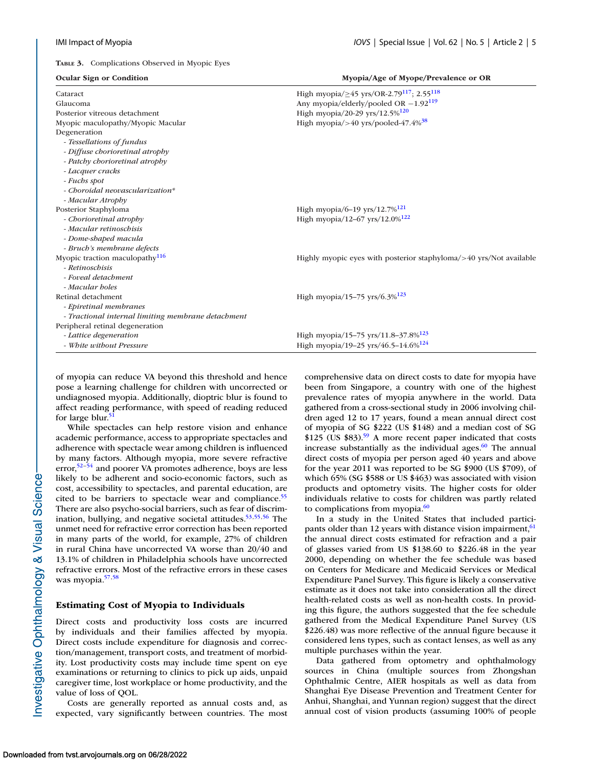<span id="page-4-0"></span>**TABLE 3.** Complications Observed in Myopic Eyes

| <b>Ocular Sign or Condition</b>                    | Myopia/Age of Myope/Prevalence or OR                                    |  |  |  |  |
|----------------------------------------------------|-------------------------------------------------------------------------|--|--|--|--|
| Cataract                                           | High myopia/ $\geq$ 45 yrs/OR-2.79 <sup>117</sup> ; 2.55 <sup>118</sup> |  |  |  |  |
| Glaucoma                                           | Any myopia/elderly/pooled OR $-1.92^{119}$                              |  |  |  |  |
| Posterior vitreous detachment                      | High myopia/20-29 yrs/12.5% <sup>120</sup>                              |  |  |  |  |
| Myopic maculopathy/Myopic Macular                  | High myopia/>40 yrs/pooled-47.4% $38$                                   |  |  |  |  |
| Degeneration                                       |                                                                         |  |  |  |  |
| - Tessellations of fundus                          |                                                                         |  |  |  |  |
| - Diffuse chorioretinal atrophy                    |                                                                         |  |  |  |  |
| - Patchy chorioretinal atrophy                     |                                                                         |  |  |  |  |
| - Lacquer cracks                                   |                                                                         |  |  |  |  |
| - Fuchs spot                                       |                                                                         |  |  |  |  |
| - Choroidal neovascularization*                    |                                                                         |  |  |  |  |
| - Macular Atrophy                                  |                                                                         |  |  |  |  |
| Posterior Staphyloma                               | High myopia/6-19 yrs/12.7% <sup>121</sup>                               |  |  |  |  |
| - Chorioretinal atrophy                            | High myopia/12-67 yrs/12.0% <sup>122</sup>                              |  |  |  |  |
| - Macular retinoschisis                            |                                                                         |  |  |  |  |
| - Dome-shaped macula                               |                                                                         |  |  |  |  |
| - Bruch's membrane defects                         |                                                                         |  |  |  |  |
| Myopic traction maculopathy $116$                  | Highly myopic eyes with posterior staphyloma/>40 yrs/Not available      |  |  |  |  |
| - Retinoschisis                                    |                                                                         |  |  |  |  |
| - Foveal detachment                                |                                                                         |  |  |  |  |
| - Macular holes                                    |                                                                         |  |  |  |  |
| Retinal detachment                                 | High myopia/15-75 yrs/6.3% $^{123}$                                     |  |  |  |  |
| - Epiretinal membranes                             |                                                                         |  |  |  |  |
| - Tractional internal limiting membrane detachment |                                                                         |  |  |  |  |
| Peripheral retinal degeneration                    |                                                                         |  |  |  |  |
| - Lattice degeneration                             | High myopia/15-75 yrs/11.8-37.8% <sup>123</sup>                         |  |  |  |  |
| - White without Pressure                           | High myopia/19-25 yrs/46.5-14.6% <sup>124</sup>                         |  |  |  |  |

of myopia can reduce VA beyond this threshold and hence pose a learning challenge for children with uncorrected or undiagnosed myopia. Additionally, dioptric blur is found to affect reading performance, with speed of reading reduced for large blur.<sup>5</sup>

While spectacles can help restore vision and enhance academic performance, access to appropriate spectacles and adherence with spectacle wear among children is influenced by many factors. Although myopia, more severe refractive error, $52-54$  and poorer VA promotes adherence, boys are less likely to be adherent and socio-economic factors, such as cost, accessibility to spectacles, and parental education, are cited to be barriers to spectacle wear and compliance.<sup>55</sup> There are also psycho-social barriers, such as fear of discrimination, bullying, and negative societal attitudes. $53,55,56$  The unmet need for refractive error correction has been reported in many parts of the world, for example, 27% of children in rural China have uncorrected VA worse than 20/40 and 13.1% of children in Philadelphia schools have uncorrected refractive errors. Most of the refractive errors in these cases was myopia.<sup>57,58</sup>

### **Estimating Cost of Myopia to Individuals**

Direct costs and productivity loss costs are incurred by individuals and their families affected by myopia. Direct costs include expenditure for diagnosis and correction/management, transport costs, and treatment of morbidity. Lost productivity costs may include time spent on eye examinations or returning to clinics to pick up aids, unpaid caregiver time, lost workplace or home productivity, and the value of loss of QOL.

Costs are generally reported as annual costs and, as expected, vary significantly between countries. The most comprehensive data on direct costs to date for myopia have been from Singapore, a country with one of the highest prevalence rates of myopia anywhere in the world. Data gathered from a cross-sectional study in 2006 involving children aged 12 to 17 years, found a mean annual direct cost of myopia of SG \$222 (US \$148) and a median cost of SG \$125 (US \$83)[.59](#page-11-0) A more recent paper indicated that costs increase substantially as the individual ages. $60$  The annual direct costs of myopia per person aged 40 years and above for the year 2011 was reported to be SG \$900 (US \$709), of which 65% (SG \$588 or US \$463) was associated with vision products and optometry visits. The higher costs for older individuals relative to costs for children was partly related to complications from myopia. $60$ 

In a study in the United States that included participants older than 12 years with distance vision impairment,  $61$ the annual direct costs estimated for refraction and a pair of glasses varied from US \$138.60 to \$226.48 in the year 2000, depending on whether the fee schedule was based on Centers for Medicare and Medicaid Services or Medical Expenditure Panel Survey. This figure is likely a conservative estimate as it does not take into consideration all the direct health-related costs as well as non-health costs. In providing this figure, the authors suggested that the fee schedule gathered from the Medical Expenditure Panel Survey (US \$226.48) was more reflective of the annual figure because it considered lens types, such as contact lenses, as well as any multiple purchases within the year.

Data gathered from optometry and ophthalmology sources in China (multiple sources from Zhongshan Ophthalmic Centre, AIER hospitals as well as data from Shanghai Eye Disease Prevention and Treatment Center for Anhui, Shanghai, and Yunnan region) suggest that the direct annual cost of vision products (assuming 100% of people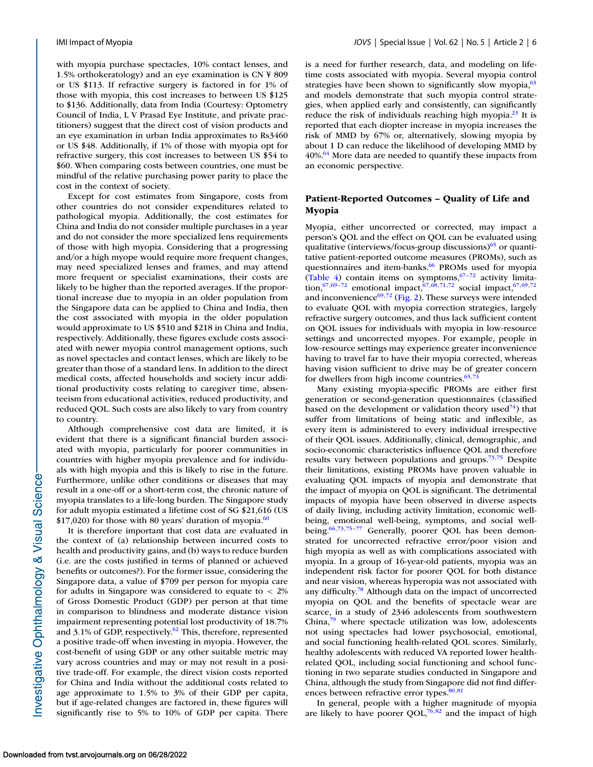with myopia purchase spectacles, 10% contact lenses, and 1.5% orthokeratology) and an eye examination is CN ¥ 809 or US \$113. If refractive surgery is factored in for 1% of those with myopia, this cost increases to between US \$125 to \$136. Additionally, data from India (Courtesy: Optometry Council of India, L V Prasad Eye Institute, and private practitioners) suggest that the direct cost of vision products and an eye examination in urban India approximates to Rs3460 or US \$48. Additionally, if 1% of those with myopia opt for refractive surgery, this cost increases to between US \$54 to \$60. When comparing costs between countries, one must be mindful of the relative purchasing power parity to place the cost in the context of society.

Except for cost estimates from Singapore, costs from other countries do not consider expenditures related to pathological myopia. Additionally, the cost estimates for China and India do not consider multiple purchases in a year and do not consider the more specialized lens requirements of those with high myopia. Considering that a progressing and/or a high myope would require more frequent changes, may need specialized lenses and frames, and may attend more frequent or specialist examinations, their costs are likely to be higher than the reported averages. If the proportional increase due to myopia in an older population from the Singapore data can be applied to China and India, then the cost associated with myopia in the older population would approximate to US \$510 and \$218 in China and India, respectively. Additionally, these figures exclude costs associated with newer myopia control management options, such as novel spectacles and contact lenses, which are likely to be greater than those of a standard lens. In addition to the direct medical costs, affected households and society incur additional productivity costs relating to caregiver time, absenteeism from educational activities, reduced productivity, and reduced QOL. Such costs are also likely to vary from country to country.

Although comprehensive cost data are limited, it is evident that there is a significant financial burden associated with myopia, particularly for poorer communities in countries with higher myopia prevalence and for individuals with high myopia and this is likely to rise in the future. Furthermore, unlike other conditions or diseases that may result in a one-off or a short-term cost, the chronic nature of myopia translates to a life-long burden. The Singapore study for adult myopia estimated a lifetime cost of SG \$21,616 (US  $$17,020$ ) for those with 80 years' duration of myopia.<sup>60</sup>

It is therefore important that cost data are evaluated in the context of (a) relationship between incurred costs to health and productivity gains, and (b) ways to reduce burden (i.e. are the costs justified in terms of planned or achieved benefits or outcomes?). For the former issue, considering the Singapore data, a value of \$709 per person for myopia care for adults in Singapore was considered to equate to < 2% of Gross Domestic Product (GDP) per person at that time in comparison to blindness and moderate distance vision impairment representing potential lost productivity of 18.7% and 3.1% of GDP, respectively. $62$  This, therefore, represented a positive trade-off when investing in myopia. However, the cost-benefit of using GDP or any other suitable metric may vary across countries and may or may not result in a positive trade-off. For example, the direct vision costs reported for China and India without the additional costs related to age approximate to 1.5% to 3% of their GDP per capita, but if age-related changes are factored in, these figures will significantly rise to 5% to 10% of GDP per capita. There

is a need for further research, data, and modeling on lifetime costs associated with myopia. Several myopia control strategies have been shown to significantly slow myopia, $63$ and models demonstrate that such myopia control strategies, when applied early and consistently, can significantly reduce the risk of individuals reaching high myopia. $^{23}$  It is reported that each diopter increase in myopia increases the risk of MMD by 67% or, alternatively, slowing myopia by about 1 D can reduce the likelihood of developing MMD by  $40\%$ <sup>64</sup> More data are needed to quantify these impacts from an economic perspective.

# **Patient-Reported Outcomes – Quality of Life and Myopia**

Myopia, either uncorrected or corrected, may impact a person's QOL and the effect on QOL can be evaluated using qualitative (interviews/focus-group discussions) $65$  or quantitative patient-reported outcome measures (PROMs), such as questionnaires and item-banks.<sup>66</sup> PROMs used for myopia [\(Table 4\)](#page-6-0) contain items on symptoms, $67-72$  activity limitation,<sup>67,69-72</sup> emotional impact,<sup>67,68,71,72</sup> social impact,<sup>67,69,72</sup> and inconvenience $^{69,72}$  $^{69,72}$  $^{69,72}$  [\(Fig. 2\)](#page-6-0). These surveys were intended to evaluate QOL with myopia correction strategies, largely refractive surgery outcomes, and thus lack sufficient content on QOL issues for individuals with myopia in low-resource settings and uncorrected myopes. For example, people in low-resource settings may experience greater inconvenience having to travel far to have their myopia corrected, whereas having vision sufficient to drive may be of greater concern for dwellers from high income countries. $65,73$ 

Many existing myopia-specific PROMs are either first generation or second-generation questionnaires (classified based on the development or validation theory used<sup>74</sup>) that suffer from limitations of being static and inflexible, as every item is administered to every individual irrespective of their QOL issues. Additionally, clinical, demographic, and socio-economic characteristics influence QOL and therefore results vary between populations and groups.<sup>73,75</sup> Despite their limitations, existing PROMs have proven valuable in evaluating QOL impacts of myopia and demonstrate that the impact of myopia on QOL is significant. The detrimental impacts of myopia have been observed in diverse aspects of daily living, including activity limitation, economic wellbeing, emotional well-being, symptoms, and social wellbeing.<sup>66,73,75-77</sup> Generally, poorer QOL has been demonstrated for uncorrected refractive error/poor vision and high myopia as well as with complications associated with myopia. In a group of 16-year-old patients, myopia was an independent risk factor for poorer QOL for both distance and near vision, whereas hyperopia was not associated with any difficulty[.78](#page-11-0) Although data on the impact of uncorrected myopia on QOL and the benefits of spectacle wear are scarce, in a study of 2346 adolescents from southwestern China[,79](#page-11-0) where spectacle utilization was low, adolescents not using spectacles had lower psychosocial, emotional, and social functioning health-related QOL scores. Similarly, healthy adolescents with reduced VA reported lower healthrelated QOL, including social functioning and school functioning in two separate studies conducted in Singapore and China, although the study from Singapore did not find differences between refractive error types. $80,81$ 

In general, people with a higher magnitude of myopia are likely to have poorer QOL, $76,82$  and the impact of high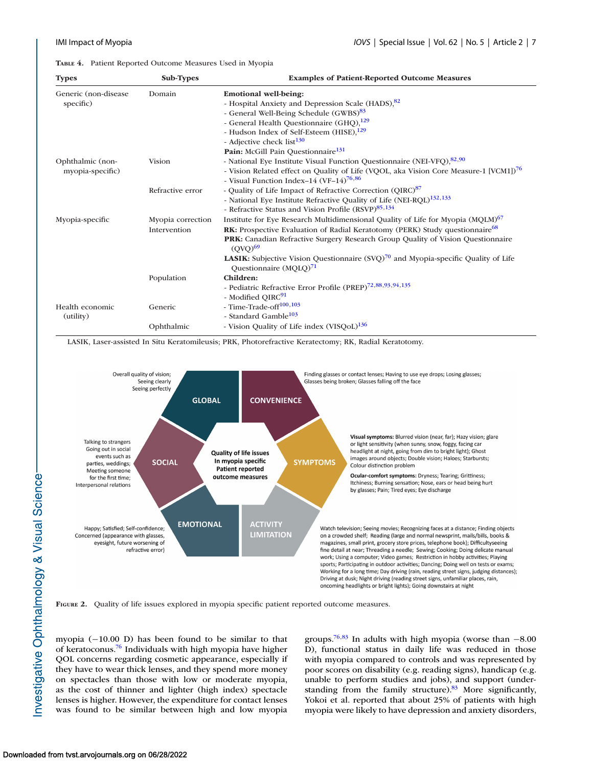<span id="page-6-0"></span>**TABLE 4.** Patient Reported Outcome Measures Used in Myopia

| <b>Types</b>          | Sub-Types         | <b>Examples of Patient-Reported Outcome Measures</b>                                                   |
|-----------------------|-------------------|--------------------------------------------------------------------------------------------------------|
| Generic (non-disease) | Domain            | <b>Emotional well-being:</b>                                                                           |
| specific)             |                   | - Hospital Anxiety and Depression Scale (HADS), 82                                                     |
|                       |                   | - General Well-Being Schedule (GWBS) <sup>83</sup>                                                     |
|                       |                   | - General Health Questionnaire (GHQ), <sup>129</sup>                                                   |
|                       |                   | - Hudson Index of Self-Esteem (HISE), <sup>129</sup>                                                   |
|                       |                   | - Adjective check list <sup>130</sup>                                                                  |
|                       |                   | Pain: McGill Pain Questionnaire <sup>131</sup>                                                         |
| Ophthalmic (non-      | <b>Vision</b>     | - National Eye Institute Visual Function Questionnaire (NEI-VFQ), 82,90                                |
| myopia-specific)      |                   | - Vision Related effect on Quality of Life (VQOL, aka Vision Core Measure-1 [VCM1]) <sup>76</sup>      |
|                       |                   | - Visual Function Index-14 (VF-14) <sup>76,86</sup>                                                    |
|                       | Refractive error  | - Quality of Life Impact of Refractive Correction (QIRC) <sup>87</sup>                                 |
|                       |                   | - National Eye Institute Refractive Quality of Life (NEI-RQL) <sup>132,133</sup>                       |
|                       |                   | - Refractive Status and Vision Profile (RSVP) <sup>85,134</sup>                                        |
| Myopia-specific       | Myopia correction | Institute for Eye Research Multidimensional Quality of Life for Myopia (MQLM) <sup>67</sup>            |
|                       | Intervention      | <b>RK:</b> Prospective Evaluation of Radial Keratotomy (PERK) Study questionnaire <sup>68</sup>        |
|                       |                   | PRK: Canadian Refractive Surgery Research Group Quality of Vision Questionnaire<br>(OVO) <sup>69</sup> |
|                       |                   | <b>LASIK:</b> Subjective Vision Questionnaire $(SVQ)^{70}$ and Myopia-specific Quality of Life         |
|                       |                   | Questionnaire $(MQLQ)^{71}$                                                                            |
|                       | Population        | Children:                                                                                              |
|                       |                   | - Pediatric Refractive Error Profile (PREP) <sup>72,88,93,94,135</sup>                                 |
|                       |                   | - Modified QIRC <sup>91</sup>                                                                          |
| Health economic       | Generic           | - Time-Trade-off <sup>100,103</sup>                                                                    |
| (utility)             |                   | - Standard Gamble <sup>103</sup>                                                                       |
|                       | Ophthalmic        | - Vision Quality of Life index (VISQoL) <sup>136</sup>                                                 |

LASIK, Laser-assisted In Situ Keratomileusis; PRK, Photorefractive Keratectomy; RK, Radial Keratotomy.



**FIGURE 2.** Quality of life issues explored in myopia specific patient reported outcome measures.

myopia (−10.00 D) has been found to be similar to that of keratoconus[.76](#page-11-0) Individuals with high myopia have higher QOL concerns regarding cosmetic appearance, especially if they have to wear thick lenses, and they spend more money on spectacles than those with low or moderate myopia, as the cost of thinner and lighter (high index) spectacle lenses is higher. However, the expenditure for contact lenses was found to be similar between high and low myopia groups.<sup>76,83</sup> In adults with high myopia (worse than  $-8.00$ D), functional status in daily life was reduced in those with myopia compared to controls and was represented by poor scores on disability (e.g. reading signs), handicap (e.g. unable to perform studies and jobs), and support (understanding from the family structure).<sup>83</sup> More significantly, Yokoi et al. reported that about 25% of patients with high myopia were likely to have depression and anxiety disorders,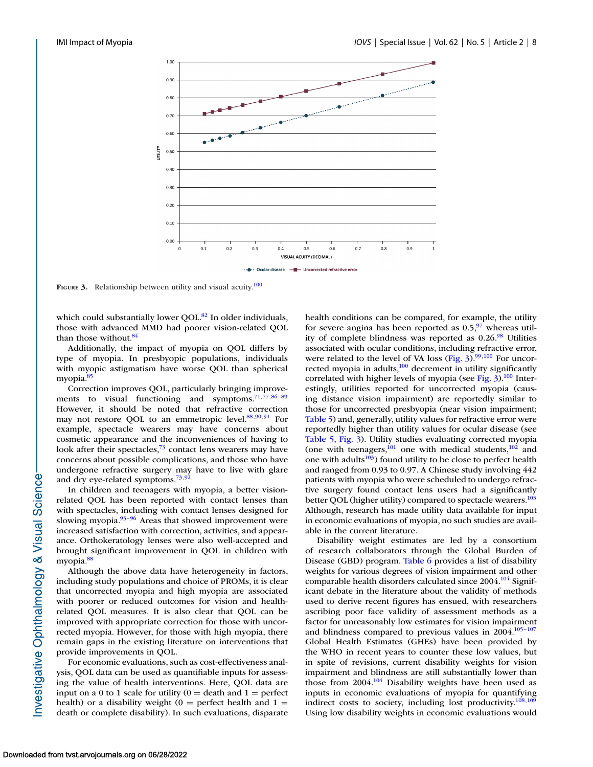

**FIGURE 3.** Relationship between utility and visual acuity.<sup>100</sup>

which could substantially lower OOL.<sup>82</sup> In older individuals, those with advanced MMD had poorer vision-related QOL than those without.<sup>84</sup>

Additionally, the impact of myopia on QOL differs by type of myopia. In presbyopic populations, individuals with myopic astigmatism have worse QOL than spherical myopia.<sup>85</sup>

Correction improves QOL, particularly bringing improve-ments to visual functioning and symptoms.<sup>71,77,86-[89](#page-12-0)</sup> However, it should be noted that refractive correction may not restore QOL to an emmetropic level. $88,90,91$  $88,90,91$  For example, spectacle wearers may have concerns about cosmetic appearance and the inconveniences of having to look after their spectacles, $73$  contact lens wearers may have concerns about possible complications, and those who have undergone refractive surgery may have to live with glare and dry eye-related symptoms.<sup>73,[92](#page-12-0)</sup>

In children and teenagers with myopia, a better visionrelated QOL has been reported with contact lenses than with spectacles, including with contact lenses designed for slowing myopia. $93-96$  Areas that showed improvement were increased satisfaction with correction, activities, and appearance. Orthokeratology lenses were also well-accepted and brought significant improvement in QOL in children with myopia[.88](#page-11-0)

Although the above data have heterogeneity in factors, including study populations and choice of PROMs, it is clear that uncorrected myopia and high myopia are associated with poorer or reduced outcomes for vision and healthrelated QOL measures. It is also clear that QOL can be improved with appropriate correction for those with uncorrected myopia. However, for those with high myopia, there remain gaps in the existing literature on interventions that provide improvements in QOL.

For economic evaluations, such as cost-effectiveness analysis, QOL data can be used as quantifiable inputs for assessing the value of health interventions. Here, QOL data are input on a 0 to 1 scale for utility ( $0 =$  death and  $1 =$  perfect health) or a disability weight ( $0 =$  perfect health and  $1 =$ death or complete disability). In such evaluations, disparate health conditions can be compared, for example, the utility for severe angina has been reported as  $0.5<sup>97</sup>$  whereas utility of complete blindness was reported as  $0.26<sup>98</sup>$  Utilities associated with ocular conditions, including refractive error, were related to the level of VA loss (Fig.  $3$ ).<sup>99,100</sup> For uncorrected myopia in adults,<sup>100</sup> decrement in utility significantly correlated with higher levels of myopia (see Fig.  $3$ ).<sup>100</sup> Interestingly, utilities reported for uncorrected myopia (causing distance vision impairment) are reportedly similar to those for uncorrected presbyopia (near vision impairment; [Table 5\)](#page-8-0) and, generally, utility values for refractive error were reportedly higher than utility values for ocular disease (see [Table 5,](#page-8-0) Fig. 3). Utility studies evaluating corrected myopia (one with teenagers, $^{101}$  one with medical students, $^{102}$  and one with adults $103$ ) found utility to be close to perfect health and ranged from 0.93 to 0.97. A Chinese study involving 442 patients with myopia who were scheduled to undergo refractive surgery found contact lens users had a significantly better QOL (higher utility) compared to spectacle wearers.<sup>103</sup> Although, research has made utility data available for input in economic evaluations of myopia, no such studies are available in the current literature.

Disability weight estimates are led by a consortium of research collaborators through the Global Burden of Disease (GBD) program. [Table 6](#page-8-0) provides a list of disability weights for various degrees of vision impairment and other comparable health disorders calculated since 2004.<sup>104</sup> Significant debate in the literature about the validity of methods used to derive recent figures has ensued, with researchers ascribing poor face validity of assessment methods as a factor for unreasonably low estimates for vision impairment and blindness compared to previous values in  $2004$ .<sup>105–107</sup> Global Health Estimates (GHEs) have been provided by the WHO in recent years to counter these low values, but in spite of revisions, current disability weights for vision impairment and blindness are still substantially lower than those from  $2004$ .<sup>104</sup> Disability weights have been used as inputs in economic evaluations of myopia for quantifying indirect costs to society, including lost productivity. $108,109$ Using low disability weights in economic evaluations would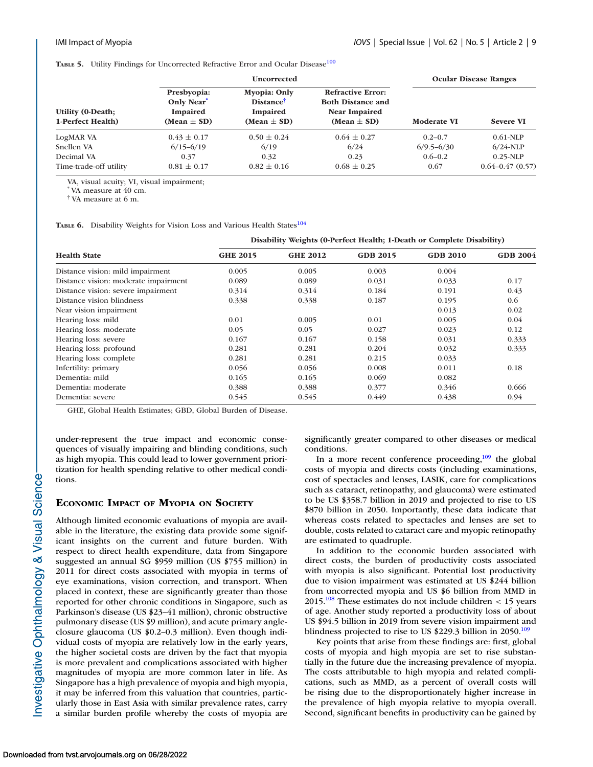<span id="page-8-0"></span>**TABLE 5.** Utility Findings for Uncorrected Refractive Error and Ocular Disease<sup>[100](#page-12-0)</sup>

|                                        |                                                                             | <b>Uncorrected</b>                                                                 | <b>Ocular Disease Ranges</b>                                                                    |                    |                     |
|----------------------------------------|-----------------------------------------------------------------------------|------------------------------------------------------------------------------------|-------------------------------------------------------------------------------------------------|--------------------|---------------------|
| Utility (0-Death;<br>1-Perfect Health) | Presbyopia:<br>Only Near <sup>*</sup><br><b>Impaired</b><br>(Mean $\pm$ SD) | <b>Myopia: Only</b><br><b>Distance</b> <sup>†</sup><br>Impaired<br>(Mean $\pm$ SD) | <b>Refractive Error:</b><br><b>Both Distance and</b><br><b>Near Impaired</b><br>(Mean $\pm$ SD) | <b>Moderate VI</b> | <b>Severe VI</b>    |
| LogMAR VA                              | $0.43 \pm 0.17$                                                             | $0.50 \pm 0.24$                                                                    | $0.64 \pm 0.27$                                                                                 | $0.2 - 0.7$        | $0.61-NLP$          |
| Snellen VA                             | $6/15 - 6/19$                                                               | 6/19                                                                               | 6/24                                                                                            | $6/9.5 - 6/30$     | $6/24$ -NLP         |
| Decimal VA                             | 0.37                                                                        | 0.32                                                                               | 0.23                                                                                            | $0.6 - 0.2$        | $0.25-NLP$          |
| Time-trade-off utility                 | $0.81 \pm 0.17$                                                             | $0.82 \pm 0.16$                                                                    | $0.68 \pm 0.25$                                                                                 | 0.67               | $0.64 - 0.47(0.57)$ |

VA, visual acuity; VI, visual impairment;

VA measure at 40 cm.

† VA measure at 6 m.

TABLE 6. Disability Weights for Vision Loss and Various Health States<sup>104</sup>

#### **Disability Weights (0-Perfect Health; 1-Death or Complete Disability)**

| <b>Health State</b>                  | <b>GHE 2015</b> | <b>GHE 2012</b> | <b>GDB 2015</b> | <b>GDB 2010</b> | <b>GDB 2004</b> |  |  |  |
|--------------------------------------|-----------------|-----------------|-----------------|-----------------|-----------------|--|--|--|
| Distance vision: mild impairment     | 0.005           | 0.005           | 0.003           | 0.004           |                 |  |  |  |
| Distance vision: moderate impairment | 0.089           | 0.089           | 0.031           | 0.033           | 0.17            |  |  |  |
| Distance vision: severe impairment   | 0.314           | 0.314           | 0.184           | 0.191           | 0.43            |  |  |  |
| Distance vision blindness            | 0.338           | 0.338           | 0.187           | 0.195           | 0.6             |  |  |  |
| Near vision impairment               |                 |                 |                 | 0.013           | 0.02            |  |  |  |
| Hearing loss: mild                   | 0.01            | 0.005           | 0.01            | 0.005           | 0.04            |  |  |  |
| Hearing loss: moderate               | 0.05            | 0.05            | 0.027           | 0.023           | 0.12            |  |  |  |
| Hearing loss: severe                 | 0.167           | 0.167           | 0.158           | 0.031           | 0.333           |  |  |  |
| Hearing loss: profound               | 0.281           | 0.281           | 0.204           | 0.032           | 0.333           |  |  |  |
| Hearing loss: complete               | 0.281           | 0.281           | 0.215           | 0.033           |                 |  |  |  |
| Infertility: primary                 | 0.056           | 0.056           | 0.008           | 0.011           | 0.18            |  |  |  |
| Dementia: mild                       | 0.165           | 0.165           | 0.069           | 0.082           |                 |  |  |  |
| Dementia: moderate                   | 0.388           | 0.388           | 0.377           | 0.346           | 0.666           |  |  |  |
| Dementia: severe                     | 0.545           | 0.545           | 0.449           | 0.438           | 0.94            |  |  |  |

GHE, Global Health Estimates; GBD, Global Burden of Disease.

under-represent the true impact and economic consequences of visually impairing and blinding conditions, such as high myopia. This could lead to lower government prioritization for health spending relative to other medical conditions.

### **ECONOMIC IMPACT OF MYOPIA ON SOCIETY**

Although limited economic evaluations of myopia are available in the literature, the existing data provide some significant insights on the current and future burden. With respect to direct health expenditure, data from Singapore suggested an annual SG \$959 million (US \$755 million) in 2011 for direct costs associated with myopia in terms of eye examinations, vision correction, and transport. When placed in context, these are significantly greater than those reported for other chronic conditions in Singapore, such as Parkinson's disease (US \$23–41 million), chronic obstructive pulmonary disease (US \$9 million), and acute primary angleclosure glaucoma (US \$0.2–0.3 million). Even though individual costs of myopia are relatively low in the early years, the higher societal costs are driven by the fact that myopia is more prevalent and complications associated with higher magnitudes of myopia are more common later in life. As Singapore has a high prevalence of myopia and high myopia, it may be inferred from this valuation that countries, particularly those in East Asia with similar prevalence rates, carry a similar burden profile whereby the costs of myopia are significantly greater compared to other diseases or medical conditions.

In a more recent conference proceeding, $109$  the global costs of myopia and directs costs (including examinations, cost of spectacles and lenses, LASIK, care for complications such as cataract, retinopathy, and glaucoma) were estimated to be US \$358.7 billion in 2019 and projected to rise to US \$870 billion in 2050. Importantly, these data indicate that whereas costs related to spectacles and lenses are set to double, costs related to cataract care and myopic retinopathy are estimated to quadruple.

In addition to the economic burden associated with direct costs, the burden of productivity costs associated with myopia is also significant. Potential lost productivity due to vision impairment was estimated at US \$244 billion from uncorrected myopia and US \$6 billion from MMD in 2015.<sup>108</sup> These estimates do not include children  $<$  15 years of age. Another study reported a productivity loss of about US \$94.5 billion in 2019 from severe vision impairment and blindness projected to rise to US  $$229.3$  billion in 2050.<sup>109</sup>

Key points that arise from these findings are: first, global costs of myopia and high myopia are set to rise substantially in the future due the increasing prevalence of myopia. The costs attributable to high myopia and related complications, such as MMD, as a percent of overall costs will be rising due to the disproportionately higher increase in the prevalence of high myopia relative to myopia overall. Second, significant benefits in productivity can be gained by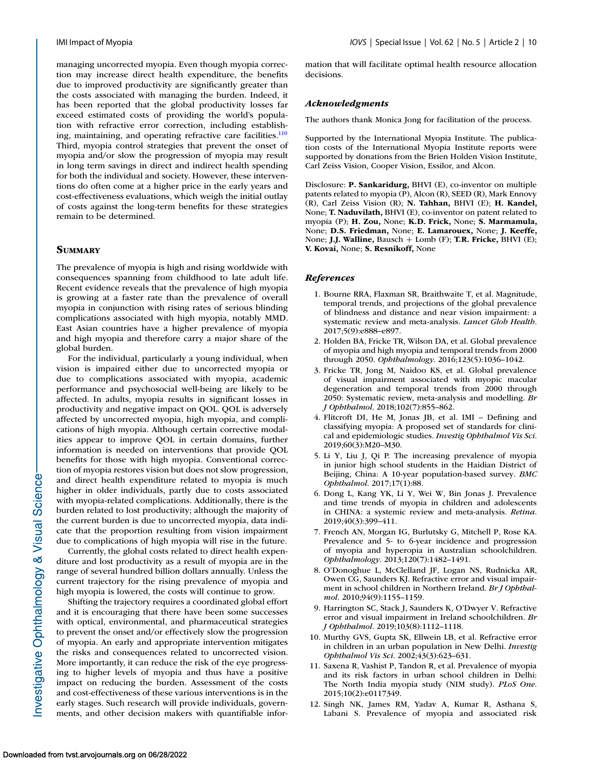<span id="page-9-0"></span>managing uncorrected myopia. Even though myopia correction may increase direct health expenditure, the benefits due to improved productivity are significantly greater than the costs associated with managing the burden. Indeed, it has been reported that the global productivity losses far exceed estimated costs of providing the world's population with refractive error correction, including establishing, maintaining, and operating refractive care facilities. $\frac{110}{10}$ Third, myopia control strategies that prevent the onset of myopia and/or slow the progression of myopia may result in long term savings in direct and indirect health spending for both the individual and society. However, these interventions do often come at a higher price in the early years and cost-effectiveness evaluations, which weigh the initial outlay of costs against the long-term benefits for these strategies remain to be determined.

# **SUMMARY**

The prevalence of myopia is high and rising worldwide with consequences spanning from childhood to late adult life. Recent evidence reveals that the prevalence of high myopia is growing at a faster rate than the prevalence of overall myopia in conjunction with rising rates of serious blinding complications associated with high myopia, notably MMD. East Asian countries have a higher prevalence of myopia and high myopia and therefore carry a major share of the global burden.

For the individual, particularly a young individual, when vision is impaired either due to uncorrected myopia or due to complications associated with myopia, academic performance and psychosocial well-being are likely to be affected. In adults, myopia results in significant losses in productivity and negative impact on QOL. QOL is adversely affected by uncorrected myopia, high myopia, and complications of high myopia. Although certain corrective modalities appear to improve QOL in certain domains, further information is needed on interventions that provide QOL benefits for those with high myopia. Conventional correction of myopia restores vision but does not slow progression, and direct health expenditure related to myopia is much higher in older individuals, partly due to costs associated with myopia-related complications. Additionally, there is the burden related to lost productivity; although the majority of the current burden is due to uncorrected myopia, data indicate that the proportion resulting from vision impairment due to complications of high myopia will rise in the future.

Currently, the global costs related to direct health expenditure and lost productivity as a result of myopia are in the range of several hundred billion dollars annually. Unless the current trajectory for the rising prevalence of myopia and high myopia is lowered, the costs will continue to grow.

Shifting the trajectory requires a coordinated global effort and it is encouraging that there have been some successes with optical, environmental, and pharmaceutical strategies to prevent the onset and/or effectively slow the progression of myopia. An early and appropriate intervention mitigates the risks and consequences related to uncorrected vision. More importantly, it can reduce the risk of the eye progressing to higher levels of myopia and thus have a positive impact on reducing the burden. Assessment of the costs and cost-effectiveness of these various interventions is in the early stages. Such research will provide individuals, governments, and other decision makers with quantifiable information that will facilitate optimal health resource allocation decisions.

#### *Acknowledgments*

The authors thank Monica Jong for facilitation of the process.

Supported by the International Myopia Institute. The publication costs of the International Myopia Institute reports were supported by donations from the Brien Holden Vision Institute, Carl Zeiss Vision, Cooper Vision, Essilor, and Alcon.

Disclosure: **P. Sankaridurg,** BHVI (E), co-inventor on multiple patents related to myopia (P), Alcon (R), SEED (R), Mark Ennovy (R), Carl Zeiss Vision (R); **N. Tahhan,** BHVI (E); **H. Kandel,** None; **T. Naduvilath,** BHVI (E), co-inventor on patent related to myopia (P); **H. Zou,** None; **K.D. Frick,** None; **S. Marmamula,** None; **D.S. Friedman,** None; **E. Lamarouex,** None; **J. Keeffe,** None; **J.J. Walline,** Bausch + Lomb (F); **T.R. Fricke,** BHVI (E); **V. Kovai,** None; **S. Resnikoff,** None

#### *References*

- 1. Bourne RRA, Flaxman SR, Braithwaite T, et al. Magnitude, temporal trends, and projections of the global prevalence of blindness and distance and near vision impairment: a systematic review and meta-analysis. *Lancet Glob Health*. 2017;5(9):e888–e897.
- 2. Holden BA, Fricke TR, Wilson DA, et al. Global prevalence of myopia and high myopia and temporal trends from 2000 through 2050. *Ophthalmology*. 2016;123(5):1036–1042.
- 3. Fricke TR, Jong M, Naidoo KS, et al. Global prevalence of visual impairment associated with myopic macular degeneration and temporal trends from 2000 through 2050: Systematic review, meta-analysis and modelling. *Br J Ophthalmol*. 2018;102(7):855–862.
- 4. Flitcroft DI, He M, Jonas JB, et al. IMI Defining and classifying myopia: A proposed set of standards for clinical and epidemiologic studies. *Investig Ophthalmol Vis Sci*. 2019;60(3):M20–M30.
- 5. Li Y, Liu J, Qi P. The increasing prevalence of myopia in junior high school students in the Haidian District of Beijing, China: A 10-year population-based survey. *BMC Ophthalmol*. 2017;17(1):88.
- 6. Dong L, Kang YK, Li Y, Wei W, Bin Jonas J. Prevalence and time trends of myopia in children and adolescents in CHINA: a systemic review and meta-analysis. *Retina*. 2019;40(3):399–411.
- 7. French AN, Morgan IG, Burlutsky G, Mitchell P, Rose KA. Prevalence and 5- to 6-year incidence and progression of myopia and hyperopia in Australian schoolchildren. *Ophthalmology*. 2013;120(7):1482–1491.
- 8. O'Donoghue L, McClelland JF, Logan NS, Rudnicka AR, Owen CG, Saunders KJ. Refractive error and visual impairment in school children in Northern Ireland. *Br J Ophthalmol*. 2010;94(9):1155–1159.
- 9. Harrington SC, Stack J, Saunders K, O'Dwyer V. Refractive error and visual impairment in Ireland schoolchildren. *Br J Ophthalmol*. 2019;103(8):1112–1118.
- 10. Murthy GVS, Gupta SK, Ellwein LB, et al. Refractive error in children in an urban population in New Delhi. *Investig Ophthalmol Vis Sci*. 2002;43(3):623–631.
- 11. Saxena R, Vashist P, Tandon R, et al. Prevalence of myopia and its risk factors in urban school children in Delhi: The North India myopia study (NIM study). *PLoS One*. 2015;10(2):e0117349.
- 12. Singh NK, James RM, Yadav A, Kumar R, Asthana S, Labani S. Prevalence of myopia and associated risk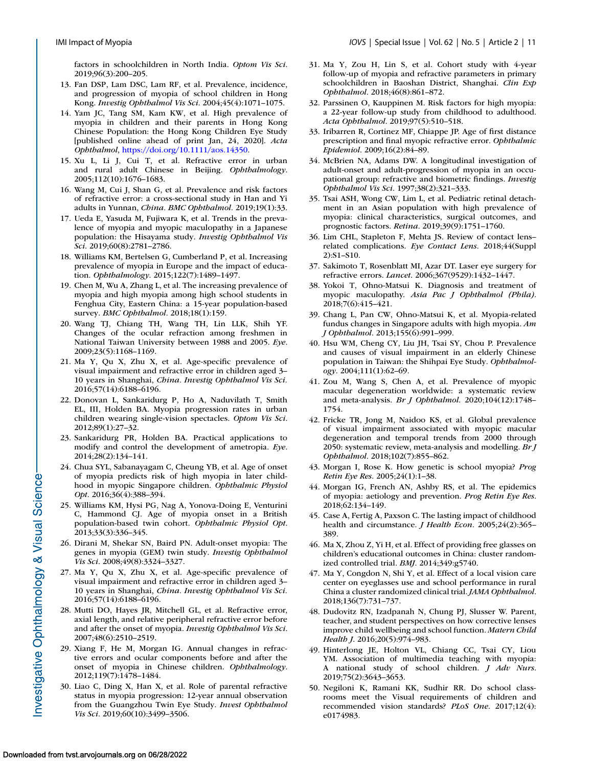<span id="page-10-0"></span>factors in schoolchildren in North India. *Optom Vis Sci*. 2019;96(3):200–205.

- 13. Fan DSP, Lam DSC, Lam RF, et al. Prevalence, incidence, and progression of myopia of school children in Hong Kong. *Investig Ophthalmol Vis Sci*. 2004;45(4):1071–1075.
- 14. Yam JC, Tang SM, Kam KW, et al. High prevalence of myopia in children and their parents in Hong Kong Chinese Population: the Hong Kong Children Eye Study [published online ahead of print Jan, 24, 2020]. *Acta Ophthalmol*, [https://doi.org/10.1111/aos.14350.](https://doi.org/10.1111/aos.14350)
- 15. Xu L, Li J, Cui T, et al. Refractive error in urban and rural adult Chinese in Beijing. *Ophthalmology*. 2005;112(10):1676–1683.
- 16. Wang M, Cui J, Shan G, et al. Prevalence and risk factors of refractive error: a cross-sectional study in Han and Yi adults in Yunnan, *China. BMC Ophthalmol.* 2019;19(1):33.
- 17. Ueda E, Yasuda M, Fujiwara K, et al. Trends in the prevalence of myopia and myopic maculopathy in a Japanese population: the Hisayama study. *Investig Ophthalmol Vis Sci*. 2019;60(8):2781–2786.
- 18. Williams KM, Bertelsen G, Cumberland P, et al. Increasing prevalence of myopia in Europe and the impact of education. *Ophthalmology*. 2015;122(7):1489–1497.
- 19. Chen M, Wu A, Zhang L, et al. The increasing prevalence of myopia and high myopia among high school students in Fenghua City, Eastern China: a 15-year population-based survey. *BMC Ophthalmol*. 2018;18(1):159.
- 20. Wang TJ, Chiang TH, Wang TH, Lin LLK, Shih YF. Changes of the ocular refraction among freshmen in National Taiwan University between 1988 and 2005. *Eye*. 2009;23(5):1168–1169.
- 21. Ma Y, Qu X, Zhu X, et al. Age-specific prevalence of visual impairment and refractive error in children aged 3– 10 years in Shanghai, *China. Investig Ophthalmol Vis Sci.* 2016;57(14):6188–6196.
- 22. Donovan L, Sankaridurg P, Ho A, Naduvilath T, Smith EL, III, Holden BA. Myopia progression rates in urban children wearing single-vision spectacles. *Optom Vis Sci*. 2012;89(1):27–32.
- 23. Sankaridurg PR, Holden BA. Practical applications to modify and control the development of ametropia. *Eye*. 2014;28(2):134–141.
- 24. Chua SYL, Sabanayagam C, Cheung YB, et al. Age of onset of myopia predicts risk of high myopia in later childhood in myopic Singapore children. *Ophthalmic Physiol Opt*. 2016;36(4):388–394.
- 25. Williams KM, Hysi PG, Nag A, Yonova-Doing E, Venturini C, Hammond CJ. Age of myopia onset in a British population-based twin cohort. *Ophthalmic Physiol Opt*. 2013;33(3):336–345.
- 26. Dirani M, Shekar SN, Baird PN. Adult-onset myopia: The genes in myopia (GEM) twin study. *Investig Ophthalmol Vis Sci*. 2008;49(8):3324–3327.
- 27. Ma Y, Qu X, Zhu X, et al. Age-specific prevalence of visual impairment and refractive error in children aged 3– 10 years in Shanghai, *China. Investig Ophthalmol Vis Sci.* 2016;57(14):6188–6196.
- 28. Mutti DO, Hayes JR, Mitchell GL, et al. Refractive error, axial length, and relative peripheral refractive error before and after the onset of myopia. *Investig Ophthalmol Vis Sci*. 2007;48(6):2510–2519.
- 29. Xiang F, He M, Morgan IG. Annual changes in refractive errors and ocular components before and after the onset of myopia in Chinese children. *Ophthalmology*. 2012;119(7):1478–1484.
- 30. Liao C, Ding X, Han X, et al. Role of parental refractive status in myopia progression: 12-year annual observation from the Guangzhou Twin Eye Study. *Invest Ophthalmol Vis Sci*. 2019;60(10):3499–3506.
- 31. Ma Y, Zou H, Lin S, et al. Cohort study with 4-year follow-up of myopia and refractive parameters in primary schoolchildren in Baoshan District, Shanghai. *Clin Exp Ophthalmol*. 2018;46(8):861–872.
- 32. Parssinen O, Kauppinen M. Risk factors for high myopia: a 22-year follow-up study from childhood to adulthood. *Acta Ophthalmol*. 2019;97(5):510–518.
- 33. Iribarren R, Cortinez MF, Chiappe JP. Age of first distance prescription and final myopic refractive error. *Ophthalmic Epidemiol*. 2009;16(2):84–89.
- 34. McBrien NA, Adams DW. A longitudinal investigation of adult-onset and adult-progression of myopia in an occupational group: refractive and biometric findings. *Investig Ophthalmol Vis Sci*. 1997;38(2):321–333.
- 35. Tsai ASH, Wong CW, Lim L, et al. Pediatric retinal detachment in an Asian population with high prevalence of myopia: clinical characteristics, surgical outcomes, and prognostic factors. *Retina*. 2019;39(9):1751–1760.
- 36. Lim CHL, Stapleton F, Mehta JS. Review of contact lens– related complications. *Eye Contact Lens*. 2018;44(Suppl 2):S1–S10.
- 37. Sakimoto T, Rosenblatt MI, Azar DT. Laser eye surgery for refractive errors. *Lancet*. 2006;367(9529):1432–1447.
- 38. Yokoi T, Ohno-Matsui K. Diagnosis and treatment of myopic maculopathy. *Asia Pac J Ophthalmol (Phila)*. 2018;7(6):415–421.
- 39. Chang L, Pan CW, Ohno-Matsui K, et al. Myopia-related fundus changes in Singapore adults with high myopia. *Am J Ophthalmol*. 2013;155(6):991–999.
- 40. Hsu WM, Cheng CY, Liu JH, Tsai SY, Chou P. Prevalence and causes of visual impairment in an elderly Chinese population in Taiwan: the Shihpai Eye Study. *Ophthalmology*. 2004;111(1):62–69.
- 41. Zou M, Wang S, Chen A, et al. Prevalence of myopic macular degeneration worldwide: a systematic review and meta-analysis. *Br J Ophthalmol*. 2020;104(12):1748– 1754.
- 42. Fricke TR, Jong M, Naidoo KS, et al. Global prevalence of visual impairment associated with myopic macular degeneration and temporal trends from 2000 through 2050: systematic review, meta-analysis and modelling. *Br J Ophthalmol*. 2018;102(7):855–862.
- 43. Morgan I, Rose K. How genetic is school myopia? *Prog Retin Eye Res*. 2005;24(1):1–38.
- 44. Morgan IG, French AN, Ashby RS, et al. The epidemics of myopia: aetiology and prevention. *Prog Retin Eye Res*. 2018;62:134–149.
- 45. Case A, Fertig A, Paxson C. The lasting impact of childhood health and circumstance. *J Health Econ*. 2005;24(2):365– 389.
- 46. Ma X, Zhou Z, Yi H, et al. Effect of providing free glasses on children's educational outcomes in China: cluster randomized controlled trial. *BMJ*. 2014;349:g5740.
- 47. Ma Y, Congdon N, Shi Y, et al. Effect of a local vision care center on eyeglasses use and school performance in rural China a cluster randomized clinical trial. *JAMA Ophthalmol*. 2018;136(7):731–737.
- 48. Dudovitz RN, Izadpanah N, Chung PJ, Slusser W. Parent, teacher, and student perspectives on how corrective lenses improve child wellbeing and school function. *Matern Child Health J*. 2016;20(5):974–983.
- 49. Hinterlong JE, Holton VL, Chiang CC, Tsai CY, Liou YM. Association of multimedia teaching with myopia: A national study of school children. *J Adv Nurs*. 2019;75(2):3643–3653.
- 50. Negiloni K, Ramani KK, Sudhir RR. Do school classrooms meet the Visual requirements of children and recommended vision standards? *PLoS One*. 2017;12(4): e0174983.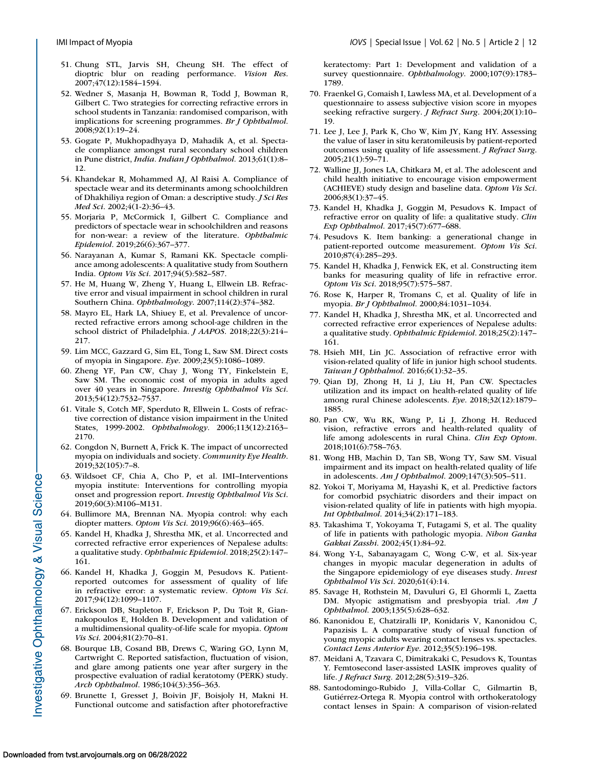- <span id="page-11-0"></span>51. Chung STL, Jarvis SH, Cheung SH. The effect of dioptric blur on reading performance. *Vision Res*. 2007;47(12):1584–1594.
- 52. Wedner S, Masanja H, Bowman R, Todd J, Bowman R, Gilbert C. Two strategies for correcting refractive errors in school students in Tanzania: randomised comparison, with implications for screening programmes. *Br J Ophthalmol*. 2008;92(1):19–24.
- 53. Gogate P, Mukhopadhyaya D, Mahadik A, et al. Spectacle compliance amongst rural secondary school children in Pune district, *India. Indian J Ophthalmol.* 2013;61(1):8– 12.
- 54. Khandekar R, Mohammed AJ, Al Raisi A. Compliance of spectacle wear and its determinants among schoolchildren of Dhakhiliya region of Oman: a descriptive study. *J Sci Res Med Sci*. 2002;4(1-2):36–43.
- 55. Morjaria P, McCormick I, Gilbert C. Compliance and predictors of spectacle wear in schoolchildren and reasons for non-wear: a review of the literature. *Ophthalmic Epidemiol*. 2019;26(6):367–377.
- 56. Narayanan A, Kumar S, Ramani KK. Spectacle compliance among adolescents: A qualitative study from Southern India. *Optom Vis Sci*. 2017;94(5):582–587.
- 57. He M, Huang W, Zheng Y, Huang L, Ellwein LB. Refractive error and visual impairment in school children in rural Southern China. *Ophthalmology*. 2007;114(2):374–382.
- 58. Mayro EL, Hark LA, Shiuey E, et al. Prevalence of uncorrected refractive errors among school-age children in the school district of Philadelphia. *J AAPOS*. 2018;22(3):214– 217.
- 59. Lim MCC, Gazzard G, Sim EL, Tong L, Saw SM. Direct costs of myopia in Singapore. *Eye*. 2009;23(5):1086–1089.
- 60. Zheng YF, Pan CW, Chay J, Wong TY, Finkelstein E, Saw SM. The economic cost of myopia in adults aged over 40 years in Singapore. *Investig Ophthalmol Vis Sci*. 2013;54(12):7532–7537.
- 61. Vitale S, Cotch MF, Sperduto R, Ellwein L. Costs of refractive correction of distance vision impairment in the United States, 1999-2002. *Ophthalmology*. 2006;113(12):2163– 2170.
- 62. Congdon N, Burnett A, Frick K. The impact of uncorrected myopia on individuals and society. *Community Eye Health*. 2019;32(105):7–8.
- 63. Wildsoet CF, Chia A, Cho P, et al. IMI–Interventions myopia institute: Interventions for controlling myopia onset and progression report. *Investig Ophthalmol Vis Sci*. 2019;60(3):M106–M131.
- 64. Bullimore MA, Brennan NA. Myopia control: why each diopter matters. *Optom Vis Sci*. 2019;96(6):463–465.
- 65. Kandel H, Khadka J, Shrestha MK, et al. Uncorrected and corrected refractive error experiences of Nepalese adults: a qualitative study. *Ophthalmic Epidemiol*. 2018;25(2):147– 161.
- 66. Kandel H, Khadka J, Goggin M, Pesudovs K. Patientreported outcomes for assessment of quality of life in refractive error: a systematic review. *Optom Vis Sci*. 2017;94(12):1099–1107.
- 67. Erickson DB, Stapleton F, Erickson P, Du Toit R, Giannakopoulos E, Holden B. Development and validation of a multidimensional quality-of-life scale for myopia. *Optom Vis Sci*. 2004;81(2):70–81.
- 68. Bourque LB, Cosand BB, Drews C, Waring GO, Lynn M, Cartwright C. Reported satisfaction, fluctuation of vision, and glare among patients one year after surgery in the prospective evaluation of radial keratotomy (PERK) study. *Arch Ophthalmol*. 1986;104(3):356–363.
- 69. Brunette I, Gresset J, Boivin JF, Boisjoly H, Makni H. Functional outcome and satisfaction after photorefractive

keratectomy: Part 1: Development and validation of a survey questionnaire. *Ophthalmology*. 2000;107(9):1783– 1789.

- 70. Fraenkel G, Comaish I, Lawless MA, et al. Development of a questionnaire to assess subjective vision score in myopes seeking refractive surgery. *J Refract Surg*. 2004;20(1):10– 19.
- 71. Lee J, Lee J, Park K, Cho W, Kim JY, Kang HY. Assessing the value of laser in situ keratomileusis by patient-reported outcomes using quality of life assessment. *J Refract Surg*. 2005;21(1):59–71.
- 72. Walline JJ, Jones LA, Chitkara M, et al. The adolescent and child health initiative to encourage vision empowerment (ACHIEVE) study design and baseline data. *Optom Vis Sci*. 2006;83(1):37–45.
- 73. Kandel H, Khadka J, Goggin M, Pesudovs K. Impact of refractive error on quality of life: a qualitative study. *Clin Exp Ophthalmol*. 2017;45(7):677–688.
- 74. Pesudovs K. Item banking: a generational change in patient-reported outcome measurement. *Optom Vis Sci*. 2010;87(4):285–293.
- 75. Kandel H, Khadka J, Fenwick EK, et al. Constructing item banks for measuring quality of life in refractive error. *Optom Vis Sci*. 2018;95(7):575–587.
- 76. Rose K, Harper R, Tromans C, et al. Quality of life in myopia. *Br J Ophthalmol*. 2000;84:1031–1034.
- 77. Kandel H, Khadka J, Shrestha MK, et al. Uncorrected and corrected refractive error experiences of Nepalese adults: a qualitative study. *Ophthalmic Epidemiol*. 2018;25(2):147– 161.
- 78. Hsieh MH, Lin JC. Association of refractive error with vision-related quality of life in junior high school students. *Taiwan J Ophthalmol*. 2016;6(1):32–35.
- 79. Qian DJ, Zhong H, Li J, Liu H, Pan CW. Spectacles utilization and its impact on health-related quality of life among rural Chinese adolescents. *Eye*. 2018;32(12):1879– 1885.
- 80. Pan CW, Wu RK, Wang P, Li J, Zhong H. Reduced vision, refractive errors and health-related quality of life among adolescents in rural China. *Clin Exp Optom*. 2018;101(6):758–763.
- 81. Wong HB, Machin D, Tan SB, Wong TY, Saw SM. Visual impairment and its impact on health-related quality of life in adolescents. *Am J Ophthalmol*. 2009;147(3):505–511.
- 82. Yokoi T, Moriyama M, Hayashi K, et al. Predictive factors for comorbid psychiatric disorders and their impact on vision-related quality of life in patients with high myopia. *Int Ophthalmol*. 2014;34(2):171–183.
- 83. Takashima T, Yokoyama T, Futagami S, et al. The quality of life in patients with pathologic myopia. *Nihon Ganka Gakkai Zasshi*. 2002;45(1):84–92.
- 84. Wong Y-L, Sabanayagam C, Wong C-W, et al. Six-year changes in myopic macular degeneration in adults of the Singapore epidemiology of eye diseases study. *Invest Ophthalmol Vis Sci*. 2020;61(4):14.
- 85. Savage H, Rothstein M, Davuluri G, El Ghormli L, Zaetta DM. Myopic astigmatism and presbyopia trial. *Am J Ophthalmol*. 2003;135(5):628–632.
- 86. Kanonidou E, Chatziralli IP, Konidaris V, Kanonidou C, Papazisis L. A comparative study of visual function of young myopic adults wearing contact lenses vs. spectacles. *Contact Lens Anterior Eye*. 2012;35(5):196–198.
- 87. Meidani A, Tzavara C, Dimitrakaki C, Pesudovs K, Tountas Y. Femtosecond laser-assisted LASIK improves quality of life. *J Refract Surg*. 2012;28(5):319–326.
- 88. Santodomingo-Rubido J, Villa-Collar C, Gilmartin B, Gutiérrez-Ortega R. Myopia control with orthokeratology contact lenses in Spain: A comparison of vision-related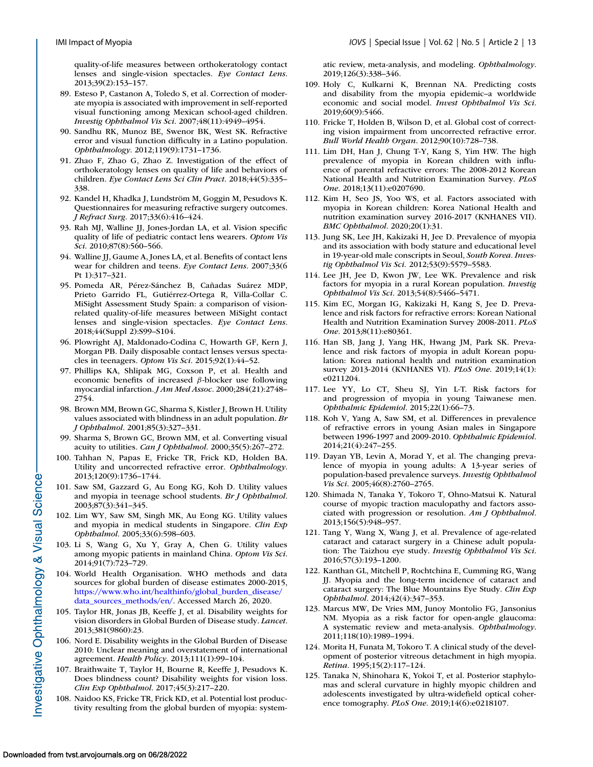<span id="page-12-0"></span>quality-of-life measures between orthokeratology contact lenses and single-vision spectacles. *Eye Contact Lens*. 2013;39(2):153–157.

- 89. Esteso P, Castanon A, Toledo S, et al. Correction of moderate myopia is associated with improvement in self-reported visual functioning among Mexican school-aged children. *Investig Ophthalmol Vis Sci*. 2007;48(11):4949–4954.
- 90. Sandhu RK, Munoz BE, Swenor BK, West SK. Refractive error and visual function difficulty in a Latino population. *Ophthalmology*. 2012;119(9):1731–1736.
- 91. Zhao F, Zhao G, Zhao Z. Investigation of the effect of orthokeratology lenses on quality of life and behaviors of children. *Eye Contact Lens Sci Clin Pract*. 2018;44(5):335– 338.
- 92. Kandel H, Khadka J, Lundström M, Goggin M, Pesudovs K. Questionnaires for measuring refractive surgery outcomes. *J Refract Surg*. 2017;33(6):416–424.
- 93. Rah MJ, Walline JJ, Jones-Jordan LA, et al. Vision specific quality of life of pediatric contact lens wearers. *Optom Vis Sci*. 2010;87(8):560–566.
- 94. Walline JJ, Gaume A, Jones LA, et al. Benefits of contact lens wear for children and teens. *Eye Contact Lens*. 2007;33(6 Pt 1):317–321.
- 95. Pomeda AR, Pérez-Sánchez B, Cañadas Suárez MDP, Prieto Garrido FL, Gutiérrez-Ortega R, Villa-Collar C. MiSight Assessment Study Spain: a comparison of visionrelated quality-of-life measures between MiSight contact lenses and single-vision spectacles. *Eye Contact Lens*. 2018;44(Suppl 2):S99–S104.
- 96. Plowright AJ, Maldonado-Codina C, Howarth GF, Kern J, Morgan PB. Daily disposable contact lenses versus spectacles in teenagers. *Optom Vis Sci*. 2015;92(1):44–52.
- 97. Phillips KA, Shlipak MG, Coxson P, et al. Health and economic benefits of increased β-blocker use following myocardial infarction. *J Am Med Assoc*. 2000;284(21):2748– 2754.
- 98. Brown MM, Brown GC, Sharma S, Kistler J, Brown H. Utility values associated with blindness in an adult population. *Br J Ophthalmol*. 2001;85(3):327–331.
- 99. Sharma S, Brown GC, Brown MM, et al. Converting visual acuity to utilities. *Can J Ophthalmol*. 2000;35(5):267–272.
- 100. Tahhan N, Papas E, Fricke TR, Frick KD, Holden BA. Utility and uncorrected refractive error. *Ophthalmology*. 2013;120(9):1736–1744.
- 101. Saw SM, Gazzard G, Au Eong KG, Koh D. Utility values and myopia in teenage school students. *Br J Ophthalmol*. 2003;87(3):341–345.
- 102. Lim WY, Saw SM, Singh MK, Au Eong KG. Utility values and myopia in medical students in Singapore. *Clin Exp Ophthalmol*. 2005;33(6):598–603.
- 103. Li S, Wang G, Xu Y, Gray A, Chen G. Utility values among myopic patients in mainland China. *Optom Vis Sci*. 2014;91(7):723–729.
- 104. World Health Organisation. WHO methods and data sources for global burden of disease estimates 2000-2015, [https://www.who.int/healthinfo/global\\_burden\\_disease/](https://www.who.int/healthinfo/global10burden10disease/data10sources10methods/en/) data\_sources\_methods/en/. Accessed March 26, 2020.
- 105. Taylor HR, Jonas JB, Keeffe J, et al. Disability weights for vision disorders in Global Burden of Disease study. *Lancet*. 2013;381(9860):23.
- 106. Nord E. Disability weights in the Global Burden of Disease 2010: Unclear meaning and overstatement of international agreement. *Health Policy*. 2013;111(1):99–104.
- 107. Braithwaite T, Taylor H, Bourne R, Keeffe J, Pesudovs K. Does blindness count? Disability weights for vision loss. *Clin Exp Ophthalmol*. 2017;45(3):217–220.
- 108. Naidoo KS, Fricke TR, Frick KD, et al. Potential lost productivity resulting from the global burden of myopia: system-

atic review, meta-analysis, and modeling. *Ophthalmology*. 2019;126(3):338–346.

- 109. Holy C, Kulkarni K, Brennan NA. Predicting costs and disability from the myopia epidemic–a worldwide economic and social model. *Invest Ophthalmol Vis Sci*. 2019;60(9):5466.
- 110. Fricke T, Holden B, Wilson D, et al. Global cost of correcting vision impairment from uncorrected refractive error. *Bull World Health Organ*. 2012;90(10):728–738.
- 111. Lim DH, Han J, Chung T-Y, Kang S, Yim HW. The high prevalence of myopia in Korean children with influence of parental refractive errors: The 2008-2012 Korean National Health and Nutrition Examination Survey. *PLoS One*. 2018;13(11):e0207690.
- 112. Kim H, Seo JS, Yoo WS, et al. Factors associated with myopia in Korean children: Korea National Health and nutrition examination survey 2016-2017 (KNHANES VII). *BMC Ophthalmol*. 2020;20(1):31.
- 113. Jung SK, Lee JH, Kakizaki H, Jee D. Prevalence of myopia and its association with body stature and educational level in 19-year-old male conscripts in Seoul, *South Korea. Investig Ophthalmol Vis Sci.* 2012;53(9):5579–5583.
- 114. Lee JH, Jee D, Kwon JW, Lee WK. Prevalence and risk factors for myopia in a rural Korean population. *Investig Ophthalmol Vis Sci*. 2013;54(8):5466–5471.
- 115. Kim EC, Morgan IG, Kakizaki H, Kang S, Jee D. Prevalence and risk factors for refractive errors: Korean National Health and Nutrition Examination Survey 2008-2011. *PLoS One*. 2013;8(11):e80361.
- 116. Han SB, Jang J, Yang HK, Hwang JM, Park SK. Prevalence and risk factors of myopia in adult Korean population: Korea national health and nutrition examination survey 2013-2014 (KNHANES VI). *PLoS One*. 2019;14(1): e0211204.
- 117. Lee YY, Lo CT, Sheu SJ, Yin L-T. Risk factors for and progression of myopia in young Taiwanese men. *Ophthalmic Epidemiol*. 2015;22(1):66–73.
- 118. Koh V, Yang A, Saw SM, et al. Differences in prevalence of refractive errors in young Asian males in Singapore between 1996-1997 and 2009-2010. *Ophthalmic Epidemiol*. 2014;21(4):247–255.
- 119. Dayan YB, Levin A, Morad Y, et al. The changing prevalence of myopia in young adults: A 13-year series of population-based prevalence surveys. *Investig Ophthalmol Vis Sci*. 2005;46(8):2760–2765.
- 120. Shimada N, Tanaka Y, Tokoro T, Ohno-Matsui K. Natural course of myopic traction maculopathy and factors associated with progression or resolution. *Am J Ophthalmol*. 2013;156(5):948–957.
- 121. Tang Y, Wang X, Wang J, et al. Prevalence of age-related cataract and cataract surgery in a Chinese adult population: The Taizhou eye study. *Investig Ophthalmol Vis Sci*. 2016;57(3):193–1200.
- 122. Kanthan GL, Mitchell P, Rochtchina E, Cumming RG, Wang JJ. Myopia and the long-term incidence of cataract and cataract surgery: The Blue Mountains Eye Study. *Clin Exp Ophthalmol*. 2014;42(4):347–353.
- 123. Marcus MW, De Vries MM, Junoy Montolio FG, Jansonius NM. Myopia as a risk factor for open-angle glaucoma: A systematic review and meta-analysis. *Ophthalmology*. 2011;118(10):1989–1994.
- 124. Morita H, Funata M, Tokoro T. A clinical study of the development of posterior vitreous detachment in high myopia. *Retina*. 1995;15(2):117–124.
- 125. Tanaka N, Shinohara K, Yokoi T, et al. Posterior staphylomas and scleral curvature in highly myopic children and adolescents investigated by ultra-widefield optical coherence tomography. *PLoS One*. 2019;14(6):e0218107.